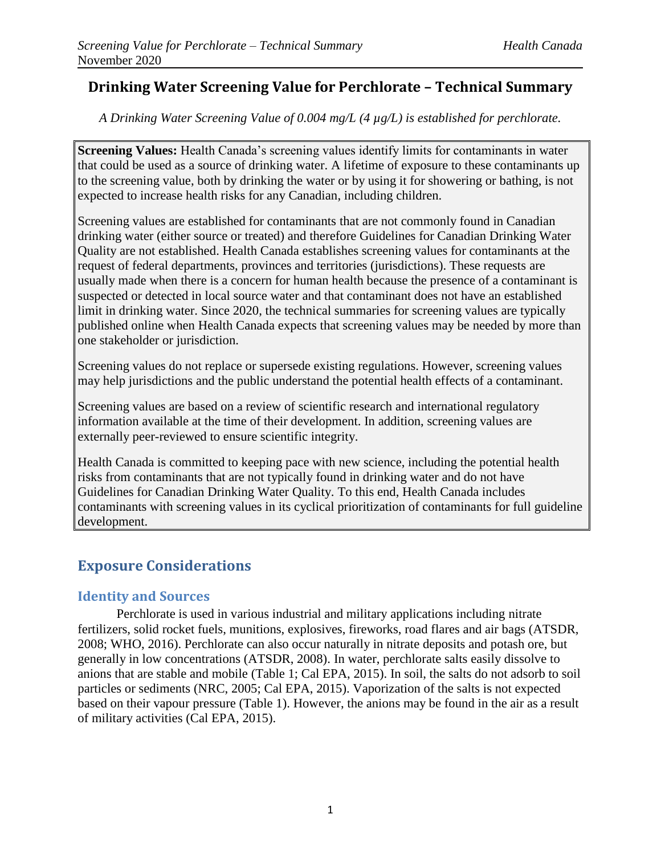# **Drinking Water Screening Value for Perchlorate – Technical Summary**

*A Drinking Water Screening Value of 0.004 mg/L (4 µg/L) is established for perchlorate.*

**Screening Values:** Health Canada's screening values identify limits for contaminants in water that could be used as a source of drinking water. A lifetime of exposure to these contaminants up to the screening value, both by drinking the water or by using it for showering or bathing, is not expected to increase health risks for any Canadian, including children.

Screening values are established for contaminants that are not commonly found in Canadian drinking water (either source or treated) and therefore Guidelines for Canadian Drinking Water Quality are not established. Health Canada establishes screening values for contaminants at the request of federal departments, provinces and territories (jurisdictions). These requests are usually made when there is a concern for human health because the presence of a contaminant is suspected or detected in local source water and that contaminant does not have an established limit in drinking water. Since 2020, the technical summaries for screening values are typically published online when Health Canada expects that screening values may be needed by more than one stakeholder or jurisdiction.

Screening values do not replace or supersede existing regulations. However, screening values may help jurisdictions and the public understand the potential health effects of a contaminant.

Screening values are based on a review of scientific research and international regulatory information available at the time of their development. In addition, screening values are externally peer-reviewed to ensure scientific integrity.

Health Canada is committed to keeping pace with new science, including the potential health risks from contaminants that are not typically found in drinking water and do not have Guidelines for Canadian Drinking Water Quality. To this end, Health Canada includes contaminants with screening values in its cyclical prioritization of contaminants for full guideline development.

# **Exposure Considerations**

## **Identity and Sources**

Perchlorate is used in various industrial and military applications including nitrate fertilizers, solid rocket fuels, munitions, explosives, fireworks, road flares and air bags (ATSDR, 2008; WHO, 2016). Perchlorate can also occur naturally in nitrate deposits and potash ore, but generally in low concentrations (ATSDR, 2008). In water, perchlorate salts easily dissolve to anions that are stable and mobile (Table 1; Cal EPA, 2015). In soil, the salts do not adsorb to soil particles or sediments (NRC, 2005; Cal EPA, 2015). Vaporization of the salts is not expected based on their vapour pressure (Table 1). However, the anions may be found in the air as a result of military activities (Cal EPA, 2015).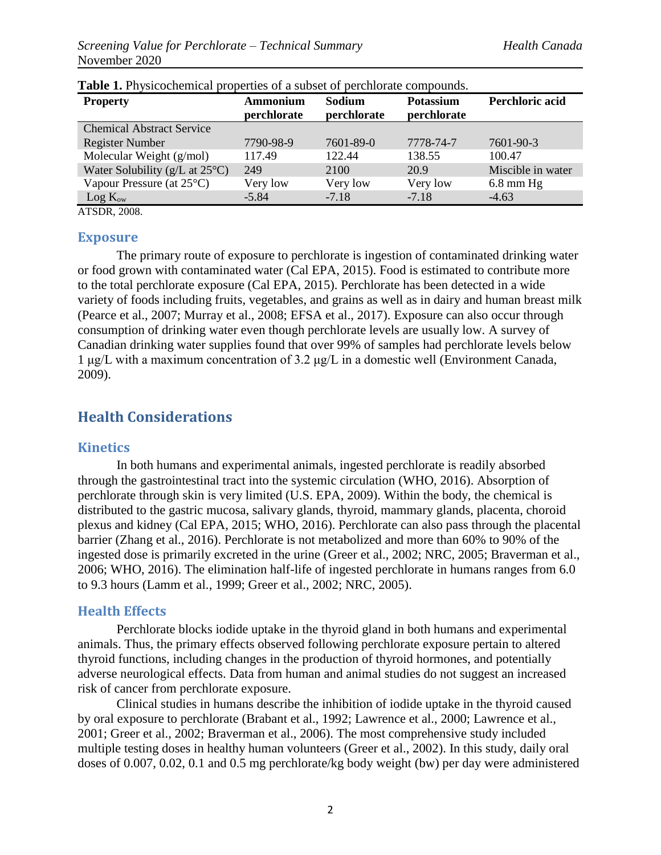| <b>Property</b>                             | <b>Ammonium</b><br>perchlorate | Sodium<br>perchlorate | <b>Potassium</b><br>perchlorate | Perchloric acid   |
|---------------------------------------------|--------------------------------|-----------------------|---------------------------------|-------------------|
| <b>Chemical Abstract Service</b>            |                                |                       |                                 |                   |
| <b>Register Number</b>                      | 7790-98-9                      | 7601-89-0             | 7778-74-7                       | 7601-90-3         |
| Molecular Weight (g/mol)                    | 117.49                         | 122.44                | 138.55                          | 100.47            |
| Water Solubility ( $g/L$ at $25^{\circ}$ C) | 249                            | 2100                  | 20.9                            | Miscible in water |
| Vapour Pressure (at $25^{\circ}$ C)         | Very low                       | Very low              | Very low                        | $6.8$ mm Hg       |
| $Log K_{ow}$                                | $-5.84$                        | $-7.18$               | $-7.18$                         | $-4.63$           |

|  |  |  |  |  |  | <b>Table 1.</b> Physicochemical properties of a subset of perchlorate compounds. |  |
|--|--|--|--|--|--|----------------------------------------------------------------------------------|--|
|--|--|--|--|--|--|----------------------------------------------------------------------------------|--|

ATSDR, 2008.

#### **Exposure**

The primary route of exposure to perchlorate is ingestion of contaminated drinking water or food grown with contaminated water (Cal EPA, 2015). Food is estimated to contribute more to the total perchlorate exposure (Cal EPA, 2015). Perchlorate has been detected in a wide variety of foods including fruits, vegetables, and grains as well as in dairy and human breast milk (Pearce et al., 2007; Murray et al., 2008; EFSA et al., 2017). Exposure can also occur through consumption of drinking water even though perchlorate levels are usually low. A survey of Canadian drinking water supplies found that over 99% of samples had perchlorate levels below 1 μg/L with a maximum concentration of 3.2 μg/L in a domestic well (Environment Canada, 2009).

## **Health Considerations**

#### **Kinetics**

In both humans and experimental animals, ingested perchlorate is readily absorbed through the gastrointestinal tract into the systemic circulation (WHO, 2016). Absorption of perchlorate through skin is very limited (U.S. EPA, 2009). Within the body, the chemical is distributed to the gastric mucosa, salivary glands, thyroid, mammary glands, placenta, choroid plexus and kidney (Cal EPA, 2015; WHO, 2016). Perchlorate can also pass through the placental barrier (Zhang et al., 2016). Perchlorate is not metabolized and more than 60% to 90% of the ingested dose is primarily excreted in the urine (Greer et al., 2002; NRC, 2005; Braverman et al., 2006; WHO, 2016). The elimination half-life of ingested perchlorate in humans ranges from 6.0 to 9.3 hours (Lamm et al., 1999; Greer et al., 2002; NRC, 2005).

#### **Health Effects**

Perchlorate blocks iodide uptake in the thyroid gland in both humans and experimental animals. Thus, the primary effects observed following perchlorate exposure pertain to altered thyroid functions, including changes in the production of thyroid hormones, and potentially adverse neurological effects. Data from human and animal studies do not suggest an increased risk of cancer from perchlorate exposure.

Clinical studies in humans describe the inhibition of iodide uptake in the thyroid caused by oral exposure to perchlorate (Brabant et al., 1992; Lawrence et al., 2000; Lawrence et al., 2001; Greer et al., 2002; Braverman et al., 2006). The most comprehensive study included multiple testing doses in healthy human volunteers (Greer et al., 2002). In this study, daily oral doses of 0.007, 0.02, 0.1 and 0.5 mg perchlorate/kg body weight (bw) per day were administered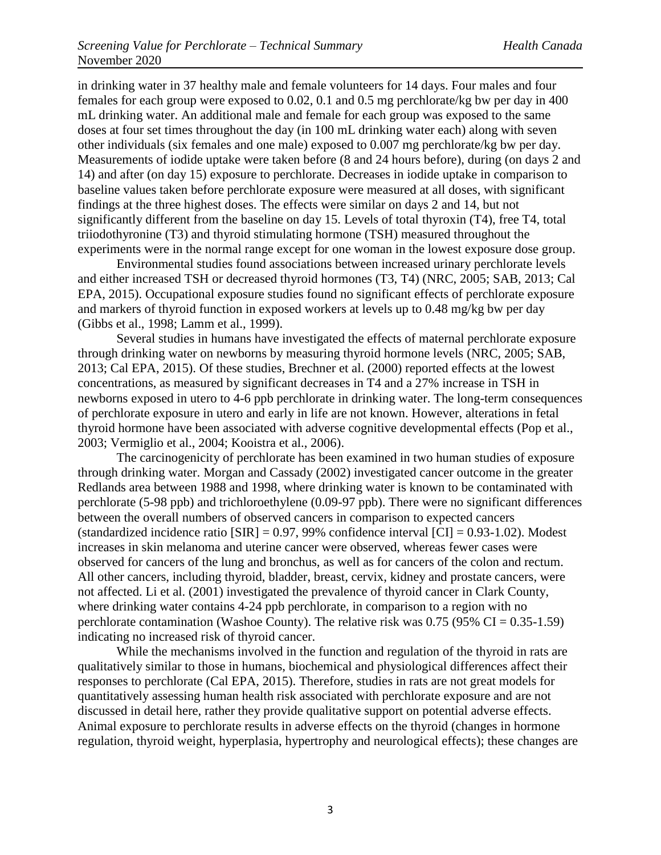in drinking water in 37 healthy male and female volunteers for 14 days. Four males and four females for each group were exposed to 0.02, 0.1 and 0.5 mg perchlorate/kg bw per day in 400 mL drinking water. An additional male and female for each group was exposed to the same doses at four set times throughout the day (in 100 mL drinking water each) along with seven other individuals (six females and one male) exposed to 0.007 mg perchlorate/kg bw per day. Measurements of iodide uptake were taken before (8 and 24 hours before), during (on days 2 and 14) and after (on day 15) exposure to perchlorate. Decreases in iodide uptake in comparison to baseline values taken before perchlorate exposure were measured at all doses, with significant findings at the three highest doses. The effects were similar on days 2 and 14, but not significantly different from the baseline on day 15. Levels of total thyroxin (T4), free T4, total triiodothyronine (T3) and thyroid stimulating hormone (TSH) measured throughout the experiments were in the normal range except for one woman in the lowest exposure dose group.

Environmental studies found associations between increased urinary perchlorate levels and either increased TSH or decreased thyroid hormones (T3, T4) (NRC, 2005; SAB, 2013; Cal EPA, 2015). Occupational exposure studies found no significant effects of perchlorate exposure and markers of thyroid function in exposed workers at levels up to 0.48 mg/kg bw per day (Gibbs et al., 1998; Lamm et al., 1999).

Several studies in humans have investigated the effects of maternal perchlorate exposure through drinking water on newborns by measuring thyroid hormone levels (NRC, 2005; SAB, 2013; Cal EPA, 2015). Of these studies, Brechner et al. (2000) reported effects at the lowest concentrations, as measured by significant decreases in T4 and a 27% increase in TSH in newborns exposed in utero to 4-6 ppb perchlorate in drinking water. The long-term consequences of perchlorate exposure in utero and early in life are not known. However, alterations in fetal thyroid hormone have been associated with adverse cognitive developmental effects (Pop et al., 2003; Vermiglio et al., 2004; Kooistra et al., 2006).

The carcinogenicity of perchlorate has been examined in two human studies of exposure through drinking water. Morgan and Cassady (2002) investigated cancer outcome in the greater Redlands area between 1988 and 1998, where drinking water is known to be contaminated with perchlorate (5-98 ppb) and trichloroethylene (0.09-97 ppb). There were no significant differences between the overall numbers of observed cancers in comparison to expected cancers (standardized incidence ratio  $[SIR] = 0.97, 99\%$  confidence interval  $[CI] = 0.93-1.02$ ). Modest increases in skin melanoma and uterine cancer were observed, whereas fewer cases were observed for cancers of the lung and bronchus, as well as for cancers of the colon and rectum. All other cancers, including thyroid, bladder, breast, cervix, kidney and prostate cancers, were not affected. Li et al. (2001) investigated the prevalence of thyroid cancer in Clark County, where drinking water contains 4-24 ppb perchlorate, in comparison to a region with no perchlorate contamination (Washoe County). The relative risk was  $0.75$  (95% CI = 0.35-1.59) indicating no increased risk of thyroid cancer.

While the mechanisms involved in the function and regulation of the thyroid in rats are qualitatively similar to those in humans, biochemical and physiological differences affect their responses to perchlorate (Cal EPA, 2015). Therefore, studies in rats are not great models for quantitatively assessing human health risk associated with perchlorate exposure and are not discussed in detail here, rather they provide qualitative support on potential adverse effects. Animal exposure to perchlorate results in adverse effects on the thyroid (changes in hormone regulation, thyroid weight, hyperplasia, hypertrophy and neurological effects); these changes are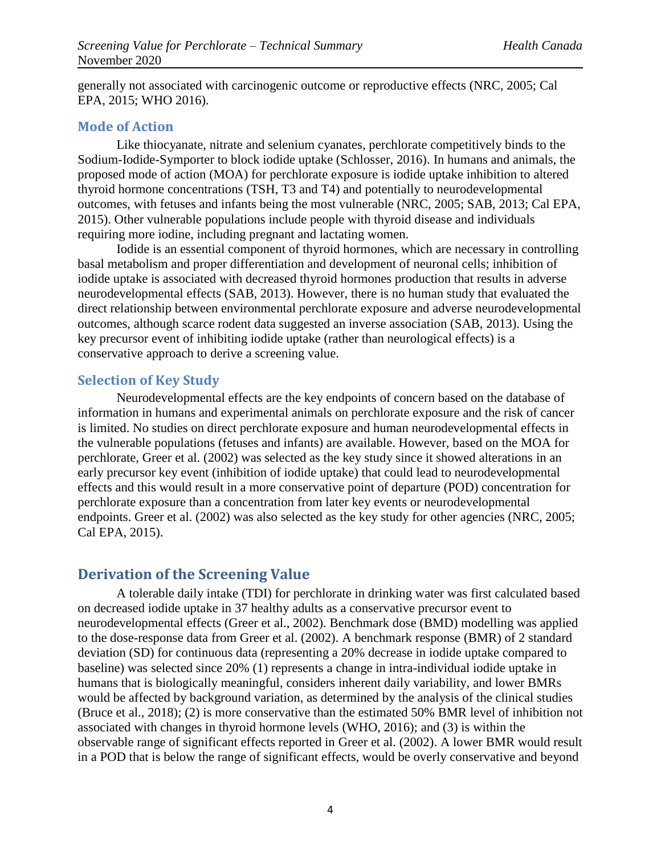generally not associated with carcinogenic outcome or reproductive effects (NRC, 2005; Cal EPA, 2015; WHO 2016).

#### **Mode of Action**

Like thiocyanate, nitrate and selenium cyanates, perchlorate competitively binds to the Sodium-Iodide-Symporter to block iodide uptake (Schlosser, 2016). In humans and animals, the proposed mode of action (MOA) for perchlorate exposure is iodide uptake inhibition to altered thyroid hormone concentrations (TSH, T3 and T4) and potentially to neurodevelopmental outcomes, with fetuses and infants being the most vulnerable (NRC, 2005; SAB, 2013; Cal EPA, 2015). Other vulnerable populations include people with thyroid disease and individuals requiring more iodine, including pregnant and lactating women.

Iodide is an essential component of thyroid hormones, which are necessary in controlling basal metabolism and proper differentiation and development of neuronal cells; inhibition of iodide uptake is associated with decreased thyroid hormones production that results in adverse neurodevelopmental effects (SAB, 2013). However, there is no human study that evaluated the direct relationship between environmental perchlorate exposure and adverse neurodevelopmental outcomes, although scarce rodent data suggested an inverse association (SAB, 2013). Using the key precursor event of inhibiting iodide uptake (rather than neurological effects) is a conservative approach to derive a screening value.

#### **Selection of Key Study**

Neurodevelopmental effects are the key endpoints of concern based on the database of information in humans and experimental animals on perchlorate exposure and the risk of cancer is limited. No studies on direct perchlorate exposure and human neurodevelopmental effects in the vulnerable populations (fetuses and infants) are available. However, based on the MOA for perchlorate, Greer et al. (2002) was selected as the key study since it showed alterations in an early precursor key event (inhibition of iodide uptake) that could lead to neurodevelopmental effects and this would result in a more conservative point of departure (POD) concentration for perchlorate exposure than a concentration from later key events or neurodevelopmental endpoints. Greer et al. (2002) was also selected as the key study for other agencies (NRC, 2005; Cal EPA, 2015).

# **Derivation of the Screening Value**

A tolerable daily intake (TDI) for perchlorate in drinking water was first calculated based on decreased iodide uptake in 37 healthy adults as a conservative precursor event to neurodevelopmental effects (Greer et al., 2002). Benchmark dose (BMD) modelling was applied to the dose-response data from Greer et al. (2002). A benchmark response (BMR) of 2 standard deviation (SD) for continuous data (representing a 20% decrease in iodide uptake compared to baseline) was selected since 20% (1) represents a change in intra-individual iodide uptake in humans that is biologically meaningful, considers inherent daily variability, and lower BMRs would be affected by background variation, as determined by the analysis of the clinical studies (Bruce et al., 2018); (2) is more conservative than the estimated 50% BMR level of inhibition not associated with changes in thyroid hormone levels (WHO, 2016); and (3) is within the observable range of significant effects reported in Greer et al. (2002). A lower BMR would result in a POD that is below the range of significant effects, would be overly conservative and beyond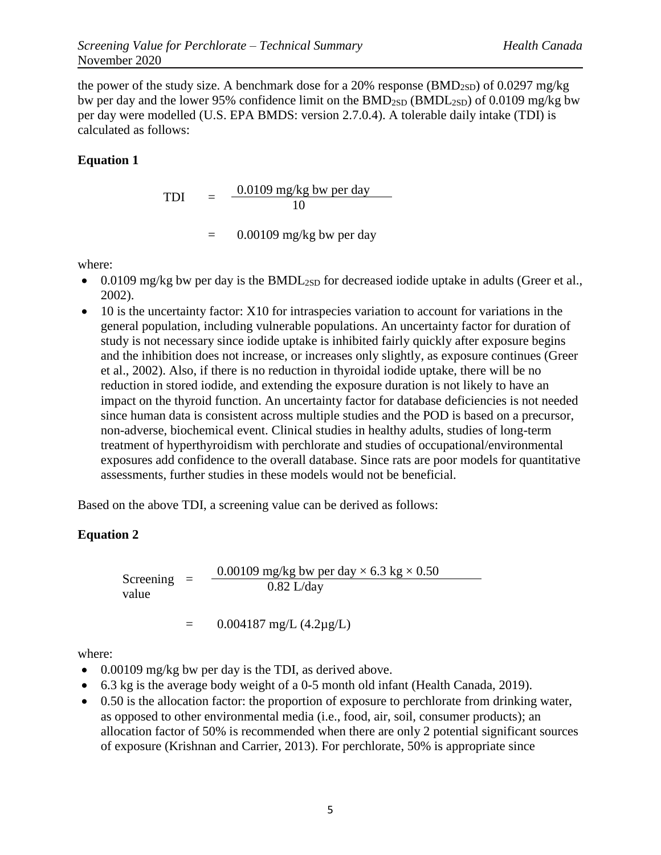the power of the study size. A benchmark dose for a 20% response ( $BMD<sub>2SD</sub>$ ) of 0.0297 mg/kg bw per day and the lower 95% confidence limit on the  $BMD_{2SD} (BMDL_{2SD})$  of 0.0109 mg/kg bw per day were modelled (U.S. EPA BMDS: version 2.7.0.4). A tolerable daily intake (TDI) is calculated as follows:

#### **Equation 1**

$$
TDI = \frac{0.0109 \text{ mg/kg bw per day}}{10}
$$

 $=$  0.00109 mg/kg bw per day

where:

- $\bullet$  0.0109 mg/kg bw per day is the BMDL<sub>2SD</sub> for decreased iodide uptake in adults (Greer et al., 2002).
- 10 is the uncertainty factor: X10 for intraspecies variation to account for variations in the general population, including vulnerable populations. An uncertainty factor for duration of study is not necessary since iodide uptake is inhibited fairly quickly after exposure begins and the inhibition does not increase, or increases only slightly, as exposure continues (Greer et al., 2002). Also, if there is no reduction in thyroidal iodide uptake, there will be no reduction in stored iodide, and extending the exposure duration is not likely to have an impact on the thyroid function. An uncertainty factor for database deficiencies is not needed since human data is consistent across multiple studies and the POD is based on a precursor, non-adverse, biochemical event. Clinical studies in healthy adults, studies of long-term treatment of hyperthyroidism with perchlorate and studies of occupational/environmental exposures add confidence to the overall database. Since rats are poor models for quantitative assessments, further studies in these models would not be beneficial.

Based on the above TDI, a screening value can be derived as follows:

#### **Equation 2**

Screening = value 0.00109 mg/kg bw per day  $\times$  6.3 kg  $\times$  0.50 0.82 L/day

 $=$  0.004187 mg/L (4.2µg/L)

where:

- $\bullet$  0.00109 mg/kg bw per day is the TDI, as derived above.
- 6.3 kg is the average body weight of a 0-5 month old infant (Health Canada, 2019).
- 0.50 is the allocation factor: the proportion of exposure to perchlorate from drinking water, as opposed to other environmental media (i.e., food, air, soil, consumer products); an allocation factor of 50% is recommended when there are only 2 potential significant sources of exposure (Krishnan and Carrier, 2013). For perchlorate, 50% is appropriate since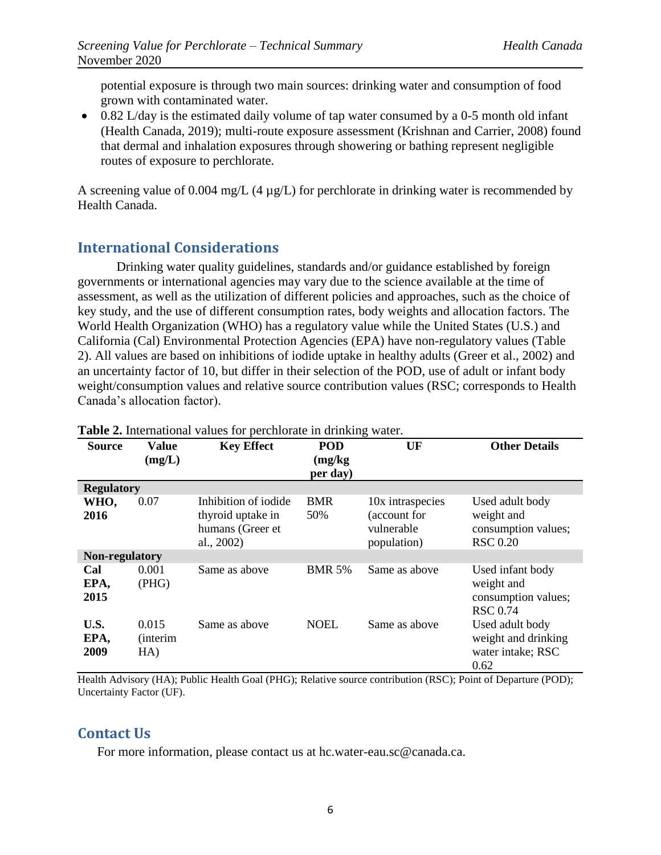potential exposure is through two main sources: drinking water and consumption of food grown with contaminated water.

 $\bullet$  0.82 L/day is the estimated daily volume of tap water consumed by a 0-5 month old infant (Health Canada, 2019); multi-route exposure assessment (Krishnan and Carrier, 2008) found that dermal and inhalation exposures through showering or bathing represent negligible routes of exposure to perchlorate.

A screening value of 0.004 mg/L (4  $\mu$ g/L) for perchlorate in drinking water is recommended by Health Canada.

# **International Considerations**

Drinking water quality guidelines, standards and/or guidance established by foreign governments or international agencies may vary due to the science available at the time of assessment, as well as the utilization of different policies and approaches, such as the choice of key study, and the use of different consumption rates, body weights and allocation factors. The World Health Organization (WHO) has a regulatory value while the United States (U.S.) and California (Cal) Environmental Protection Agencies (EPA) have non-regulatory values (Table 2). All values are based on inhibitions of iodide uptake in healthy adults (Greer et al., 2002) and an uncertainty factor of 10, but differ in their selection of the POD, use of adult or infant body weight/consumption values and relative source contribution values (RSC; corresponds to Health Canada's allocation factor).

| <b>Source</b>         | Value<br>(mg/L)                  | <b>Key Effect</b>                                                           | <b>POD</b><br>(mg/kg)<br>per day) | UF                                                            | <b>Other Details</b>                                                     |
|-----------------------|----------------------------------|-----------------------------------------------------------------------------|-----------------------------------|---------------------------------------------------------------|--------------------------------------------------------------------------|
| <b>Regulatory</b>     |                                  |                                                                             |                                   |                                                               |                                                                          |
| WHO,<br>2016          | 0.07                             | Inhibition of iodide<br>thyroid uptake in<br>humans (Greer et<br>al., 2002) | <b>BMR</b><br>50%                 | 10x intraspecies<br>(account for<br>vulnerable<br>population) | Used adult body<br>weight and<br>consumption values;<br><b>RSC</b> 0.20  |
| <b>Non-regulatory</b> |                                  |                                                                             |                                   |                                                               |                                                                          |
| Cal<br>EPA,<br>2015   | 0.001<br>(PHG)                   | Same as above                                                               | <b>BMR 5%</b>                     | Same as above                                                 | Used infant body<br>weight and<br>consumption values;<br><b>RSC</b> 0.74 |
| U.S.<br>EPA,<br>2009  | 0.015<br><i>(interim)</i><br>HA) | Same as above                                                               | <b>NOEL</b>                       | Same as above                                                 | Used adult body<br>weight and drinking<br>water intake; RSC<br>0.62      |

**Table 2.** International values for perchlorate in drinking water.

Health Advisory (HA); Public Health Goal (PHG); Relative source contribution (RSC); Point of Departure (POD); Uncertainty Factor (UF).

## **Contact Us**

For more information, please contact us at hc.water-eau.sc@canada.ca.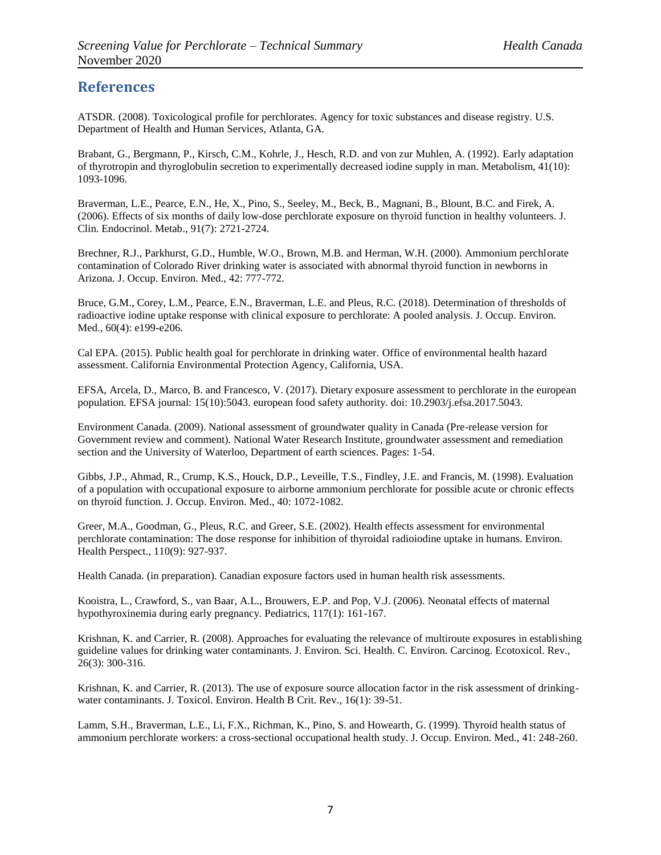### **References**

ATSDR. (2008). Toxicological profile for perchlorates. Agency for toxic substances and disease registry. U.S. Department of Health and Human Services, Atlanta, GA.

Brabant, G., Bergmann, P., Kirsch, C.M., Kohrle, J., Hesch, R.D. and von zur Muhlen, A. (1992). Early adaptation of thyrotropin and thyroglobulin secretion to experimentally decreased iodine supply in man. Metabolism, 41(10): 1093-1096.

Braverman, L.E., Pearce, E.N., He, X., Pino, S., Seeley, M., Beck, B., Magnani, B., Blount, B.C. and Firek, A. (2006). Effects of six months of daily low-dose perchlorate exposure on thyroid function in healthy volunteers. J. Clin. Endocrinol. Metab., 91(7): 2721-2724.

Brechner, R.J., Parkhurst, G.D., Humble, W.O., Brown, M.B. and Herman, W.H. (2000). Ammonium perchlorate contamination of Colorado River drinking water is associated with abnormal thyroid function in newborns in Arizona. J. Occup. Environ. Med., 42: 777-772.

Bruce, G.M., Corey, L.M., Pearce, E.N., Braverman, L.E. and Pleus, R.C. (2018). Determination of thresholds of radioactive iodine uptake response with clinical exposure to perchlorate: A pooled analysis. J. Occup. Environ. Med., 60(4): e199-e206.

Cal EPA. (2015). Public health goal for perchlorate in drinking water. Office of environmental health hazard assessment. California Environmental Protection Agency, California, USA.

EFSA, Arcela, D., Marco, B. and Francesco, V. (2017). Dietary exposure assessment to perchlorate in the european population. EFSA journal: 15(10):5043. european food safety authority. doi: 10.2903/j.efsa.2017.5043.

Environment Canada. (2009). National assessment of groundwater quality in Canada (Pre-release version for Government review and comment). National Water Research Institute, groundwater assessment and remediation section and the University of Waterloo, Department of earth sciences. Pages: 1-54.

Gibbs, J.P., Ahmad, R., Crump, K.S., Houck, D.P., Leveille, T.S., Findley, J.E. and Francis, M. (1998). Evaluation of a population with occupational exposure to airborne ammonium perchlorate for possible acute or chronic effects on thyroid function. J. Occup. Environ. Med., 40: 1072-1082.

Greer, M.A., Goodman, G., Pleus, R.C. and Greer, S.E. (2002). Health effects assessment for environmental perchlorate contamination: The dose response for inhibition of thyroidal radioiodine uptake in humans. Environ. Health Perspect., 110(9): 927-937.

Health Canada. (in preparation). Canadian exposure factors used in human health risk assessments.

Kooistra, L., Crawford, S., van Baar, A.L., Brouwers, E.P. and Pop, V.J. (2006). Neonatal effects of maternal hypothyroxinemia during early pregnancy. Pediatrics, 117(1): 161-167.

Krishnan, K. and Carrier, R. (2008). Approaches for evaluating the relevance of multiroute exposures in establishing guideline values for drinking water contaminants. J. Environ. Sci. Health. C. Environ. Carcinog. Ecotoxicol. Rev., 26(3): 300-316.

Krishnan, K. and Carrier, R. (2013). The use of exposure source allocation factor in the risk assessment of drinkingwater contaminants. J. Toxicol. Environ. Health B Crit. Rev., 16(1): 39-51.

Lamm, S.H., Braverman, L.E., Li, F.X., Richman, K., Pino, S. and Howearth, G. (1999). Thyroid health status of ammonium perchlorate workers: a cross-sectional occupational health study. J. Occup. Environ. Med., 41: 248-260.